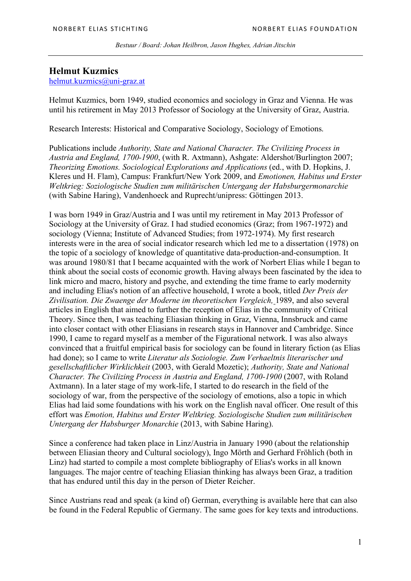*Bestuur / Board: Johan Heilbron, Jason Hughes, Adrian Jitschin*

## **Helmut Kuzmics**

helmut.kuzmics@uni-graz.at

Helmut Kuzmics, born 1949, studied economics and sociology in Graz and Vienna. He was until his retirement in May 2013 Professor of Sociology at the University of Graz, Austria.

Research Interests: Historical and Comparative Sociology, Sociology of Emotions.

Publications include *Authority, State and National Character. The Civilizing Process in Austria and England, 1700-1900*, (with R. Axtmann), Ashgate: Aldershot/Burlington 2007; *Theorizing Emotions. Sociological Explorations and Applications* (ed., with D. Hopkins, J. Kleres und H. Flam), Campus: Frankfurt/New York 2009, and *Emotionen, Habitus und Erster Weltkrieg: Soziologische Studien zum militärischen Untergang der Habsburgermonarchie* (with Sabine Haring), Vandenhoeck and Ruprecht/unipress: Göttingen 2013.

I was born 1949 in Graz/Austria and I was until my retirement in May 2013 Professor of Sociology at the University of Graz. I had studied economics (Graz; from 1967-1972) and sociology (Vienna; Institute of Advanced Studies; from 1972-1974). My first research interests were in the area of social indicator research which led me to a dissertation (1978) on the topic of a sociology of knowledge of quantitative data-production-and-consumption. It was around 1980/81 that I became acquainted with the work of Norbert Elias while I began to think about the social costs of economic growth. Having always been fascinated by the idea to link micro and macro, history and psyche, and extending the time frame to early modernity and including Elias's notion of an affective household, I wrote a book, titled *Der Preis der Zivilisation. Die Zwaenge der Moderne im theoretischen Vergleich,* 1989, and also several articles in English that aimed to further the reception of Elias in the community of Critical Theory. Since then, I was teaching Eliasian thinking in Graz, Vienna, Innsbruck and came into closer contact with other Eliasians in research stays in Hannover and Cambridge. Since 1990, I came to regard myself as a member of the Figurational network. I was also always convinced that a fruitful empirical basis for sociology can be found in literary fiction (as Elias had done); so I came to write *Literatur als Soziologie. Zum Verhaeltnis literarischer und gesellschaftlicher Wirklichkeit* (2003, with Gerald Mozetic); *Authority, State and National Character. The Civilizing Process in Austria and England, 1700-1900* (2007, with Roland Axtmann). In a later stage of my work-life, I started to do research in the field of the sociology of war, from the perspective of the sociology of emotions, also a topic in which Elias had laid some foundations with his work on the English naval officer. One result of this effort was *Emotion, Habitus und Erster Weltkrieg. Soziologische Studien zum militärischen Untergang der Habsburger Monarchie* (2013, with Sabine Haring).

Since a conference had taken place in Linz/Austria in January 1990 (about the relationship between Eliasian theory and Cultural sociology), Ingo Mörth and Gerhard Fröhlich (both in Linz) had started to compile a most complete bibliography of Elias's works in all known languages. The major centre of teaching Eliasian thinking has always been Graz, a tradition that has endured until this day in the person of Dieter Reicher.

Since Austrians read and speak (a kind of) German, everything is available here that can also be found in the Federal Republic of Germany. The same goes for key texts and introductions.